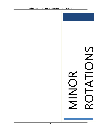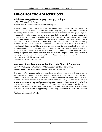# **MINOR ROTATION DESCRIPTIONS**

## **Adult Neurology/Neurosurgery Neuropsychology**

*Ashley Miles, Ph.D., C. Psych. London Health Sciences Centre: University Hospital*

The goal of a minor rotation in neuropsychology is for interested non-neuropsychology residents to learn more about the types of patients seen by neuropsychologists and the process involved in assessing patients in order to make informed decisions about when to refer to neuropsychology. This is achieved primarily through observing a neuropsychologist completing various aspects of a neuropsychological assessment, including chart review, interviewing, testing, and providing feedback and/or consultation. Part of supervision will involve discussion of cases. Residents may also have an opportunity to review medical charts, interview patients, and/or administer tests they are already familiar with, such as the Wechsler Intelligence and Memory scales, to a select number of neurologically impaired individuals to gain an appreciation for the specialized nature of the administration and interpretation of these tests within a neuropsychological framework. Residents are encouraged to review the Major Rotation description for more information about the specific setting and patient populations associated with this rotation. Completion of a Minor Rotation in neuropsychology should not be interpreted to mean that the resident has received sufficient training to practice as a Clinical Neuropsychologist.

(Anti-requisite: Neuropsychology Track)

## **Assessment and Treatment with a University Student Population**

*Terry McQuaid, Psy.D., C. Psych., additional supervisor to be determined Mental Health Care, Health and Wellness, Western University*

This rotation offers an opportunity to conduct initial consultation interviews, crisis intakes, walk-in single-session appointments and brief treatment (individual and possibly group) with university students seen at Mental Health Care, Health and Wellness at Western University. Clients seen in this rotation present with a variety of problems including mood and anxiety disorders, trauma histories, grief, and interpersonal problems. Case conceptualization, treatment planning and referring to other services and evaluation of the effectiveness of interventions are components of the rotation. Residents will gain experience integrating a variety of treatments including CBT and third-wave treatments. There may also be the opportunity for supervising junior interns in a practicum placement at the centre.

(Anti-requisite: Counselling Track)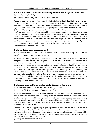### **Cardiac Rehabilitation and Secondary Prevention Program: Research**

*Peter L. Prior, Ph.D., C. Psych. St. Joseph's Health Care, London: St. Joseph's Hospital*

Residents may elect to do a minor research rotation in the Cardiac Rehabilitation and Secondary Prevention (CRSP) Program at St. Joseph's Hospital (clinically-focused minor rotations are not available in this service). This interdisciplinary program serves adults and seniors across a range of ages and cardiac conditions; and has also accepted patients following transient ischaemic attacks (TIAs) or mild strokes, into clinical research trials. Cardiovascular patients typically require behavioural risk factor modification, and often present with important psychological comorbidities such as mood or anxiety disorders or nicotine dependence. The CRSP Program includes an active research arm, and maintains a comprehensive clinical database with > 16,000 records. With an aspirational goal of producing an abstract for conference submission or a manuscript, residents will undertake one of: database mining, quality assurance or evaluation, joining an ongoing project (which typically do not require separate ethics approval); or subject to feasibility, initiating a project. (Anti-requisite: Health/Rehabilitation Track)

## **Child and Adolescent Assessment**

*Karin Gleason, Ph.D., C. Psych., Patricia Jordan, Ph.D., C. Psych., Niki Rielly, Ph.D., C. Psych. Child and Parent Resource Institute (CPRI)*

Psychologists working in various inpatient and outpatient teams at CPRI are involved in comprehensive assessments that integrate with interprofessional evaluations. Participation in cognitive, behavioural, social-emotional and relational assessments, followed by team treatment conferences, family sessions, and school conferences is required. Residents should have an interest in understanding and diagnosing complex, comorbid psychiatric disorders in child and adolescent populations experiencing significant family dysfunction and community system of care integration issues. Training and supervision in the assessment and diagnosis of intellectual deficits and developmental disability is available. Oral and written feedback and recommendations to the interprofessional clinical teams, caregivers, and teachers is required. Acceptance into this placement is dependent on the successful completion of a police record check with vulnerable sector screen (Anti-requisite: Child/Adolescent Track)

## **Child/Adolescent Mood and Anxiety Disorders Program**

*Julie Eichstedt, Ph.D., C. Psych., Jo-Ann Birt, Ph.D., C. Psych. London Health Sciences Centre: Children's Hospital*

The Child and Adolescent Mental Health Care Program's Outpatient Mood and Anxiety Disorders service is an interprofessional team specializing in assessment and treatment of children, adolescents, and families. Presenting problems are generally of an internalizing nature such as depression, anxiety, trauma, emerging personality disorders, etc., with significant comorbidity. A range of services is offered including diagnostic assessments, individual and group therapy (with family component), community liaison, and so on.

Residents will have the opportunity to gain experience in both assessment and treatment of internalizing disorders. Types of assessments include psychodiagnostic and psychoeducational assessments. Cognitive behavioural therapy is the primary therapeutic approach, with opportunities to integrate other treatment approaches, including motivational interviewing, dialectical behavioural therapy, and interpersonal psychotherapy.

(Anti-requisite: Child/Adolescent Track)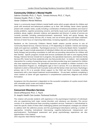# **Community Children's Mental Health**

*Sabrina Chiarella, Ph.D., C. Psych., Tomoko Arimura, Ph.D., C. Psych., Vanessa Huyder, Ph.D., C. Psych. Vanier Children's Mental Wellness*

Vanier is a community-based children's mental health centre which accepts referrals for children and youth with emotional and behavioural problems up to their 14th birthday. Vanier clients typically present with complex needs, usually including a combination of behavioural problems and mood or anxiety problems, cognitive processing concerns, and family issues (such as parental mental health problems, abuse, neglect, domestic violence, and separation and divorce). A variety of services are currently provided, including prevention/outreach, assessment, family and group therapy, day treatment, Intensive Family Services (IFS; in home), and out-of-home (group and foster) treatment. Services at Vanier focus on improving relationships, increasing regulation, and building resilience.

Residents on the Community Children's Mental Health rotation provide services to one of: Community-Based Services, Intensive Services, or IFS depending on residents' interest and training needs and supervisor availability. Psychological services to Community-Based clients ("outpatient"; birth to age 14 years) include assessment of individual children who are receiving other services (e.g., family therapy) and providing consultation to staff who are providing interventions for children and their families. Specific programs include brief services (scheduled and walk-in) and ongoing family therapy. Intensive Services include live-In programs, the specialized classrooms, and Intensive Family Services (IFS). Vanier has three residential units: two that provide short - to medium - term residential intervention for a variety of presenting issues, and one that provides long-term treatment for children who have experienced trauma. The specialized classrooms are available to children involved in the Early Intervention Program (i.e., Kindergarten age) or live-in services. IFS is an alternative to live in treatment in which a Child and Youth Counselor works with the family in their own home. Psychology's primary role in IFS is to provide clinical support to the Child and Youth Counselor, including assessments with a view toward treatment recommendations. On any team, residents completing a minor rotation at Vanier will gain experience in comprehensive assessment, diagnosis and clinical formulation.

Acceptance into this placement is dependent on the successful completion of a police record check with vulnerable sector screen and medical clearance. (Anti-requisite: Child/ Adolescent Track)

## **Concurrent Disorders Services**

*David LeMarquand, Ph.D., C. Psych. St. Joseph's Health Care London: Parkwood Institute*

This rotation will provide residents with experience in the psychological treatment of individuals who are experiencing both major mental disorders and substance use disorders. This service consists of an interprofessional team providing outpatient services. Treatment is individualized to meet the specific needs of these often challenging patients and therapeutic strategies are utilized to address both the addictive process and the psychological disturbance (utilizing a number of approaches, including motivational interviewing, cognitive-behavioural, interpersonal, and psychodynamic). Psychological assessment and group psychotherapy experiences are also opportunities in this rotation.

(Anti-requisite: Adult Mental Health Track)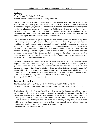## **Epilepsy**

#### *Sarah Vernon-Scott, Ph.D., C. Psych. London Health Sciences Centre: University Hospital*

Residents may choose to work providing psychological services within the Clinical Neurological Sciences department, mainly the Epilepsy Monitoring Unit (EMU). The EMU provides 24-hour video electroencephalogram (EEG) monitoring. Patients with seizures are referred to this unit for diagnosis, medication adjustment, assessment for surgery etc. Residents on this service have the opportunity to work on an interdisciplinary team, including neurology, nursing, EEG technologists, clinical psychology, neuropsychology, social work, and occupational therapy. Regular attendance at clinical rounds is an important aspect of clinical training on this service.

One of the main roles for clinical psychology on this team is the diagnosis and treatment of patients with psychogenic non-epileptic seizures (PNES), a form of functional neurological symptom disorder. In addition to inpatient assessment and consultation, the delivery of diagnoses to these patients is a key intervention, and is often undertaken as a team. Outpatient group treatment is offered to these patients. If individual treatment is appropriate, it is often comprised of trauma-focused cognitivebehavioural therapy, emotional regulation and distress tolerance, and/or structured treatment protocols for managing PNES. Clinical psychology is occasionally asked to consult with other neurology patients in the hospital in regards to queries of other functional symptoms also (e.g., functional gait, functional motor disorders).

Patients with epilepsy often have comorbid mental health diagnoses, and complex presentations with respect to cognitive function, post-surgical course, symptoms related to their seizures and post-ictal (i.e., after seizure) phases, etc. Short-term inpatient intervention is sometimes conducted to assist patients in managing their hospital admission (e.g., relaxation strategies, grounding strategies). Opportunities exist for residents to learn about systems issues (e.g., employment/disability concerns) in regards to chronic disease while providing individual outpatient treatment for mood, anxiety, adjustment concerns (e.g., adjustment to diagnosis, adjustment after surgery, etc.). (Anti-requisite: Health/Rehabilitation Track)

## **Forensic Psychology**

*Laura Fazakas-DeHoog, Ph.D., C. Psych., Tracy Desjardins, Ph.D., C. Psych. St. Joseph's Health Care London: Southwest Centre for Forensic Mental Health Care*

The Southwest Centre for Forensic Mental Health Care is a multilevel secure mental health facility that provides services to a diverse population of adult patients who are currently involved with the legal system. The forensic rotation has been designed to give residents experience with assessment, including comprehensive psychological assessment and assessment of current risk, as well as individual treatment with the goal of rehabilitation and community reintegration. On this rotation, residents will also have exposure to Ontario Review Board proceedings, consultation, treatment planning, and working on an interprofessional rehabilitation team. (Anti-requisite: Adult Mental Health Track)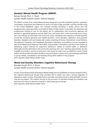## **Geriatric Mental Health Program (GMHP)**

*Bonnie Purcell, Ph.D., C. Psych. London Health Sciences Centre: Victoria Hospital*

The GMHP consists of an interprofessional team designed to provide outpatient geriatric psychiatry consultation, assessment and treatment to seniors, 65 years of age and older, and their families living in the London-Middlesex region. Our mandate includes providing 1) quality clinical care that recognizes the unique psychiatric and medical needs of older adults, 2) education for physicians and professionals training to care for the elderly, and 3) collaboration with community agencies and partners in specialized geriatric services. Both clinic and home visits in the community and in longterm care settings are provided in this service for senior individuals who experience mental disorders of late life, including dementia and related disorders, mood disorders, addictions, and psychotic disorders. Residents will work closely with a team consisting of Nurses, Psychiatrists, Social Workers, Occupational Therapists, and Therapeutic Recreation Specialists. Consultations are also provided as part of the Behavioural Response Team (BRT), that provides consultations and short-term follow-up addressing urgent referrals for responsive behaviours related to mental health or addictions (although primarily dementia) in the community and long-term care. Teaching opportunities are also available to provide in-services to long-term care homes on topics such as addictions, senior mental health, and personality disorders. Residents may participate in assessment, psychotherapy (individual or group-based), consultations, and teaching during their rotation in this program. (Anti-requisite: Adult Mental Health Track)

# **Mood and Anxiety Disorders: Cognitive-Behavioural Therapy**

*Brendan Guyitt, Ph.D., C. Psych. London Health Sciences Centre: Victoria Hospital*

As part of the General Adult Ambulatory Mental Health Service (GAAMHS) at Victoria Hospital (LHSC), the cognitive-behavioural therapy team provides CBT to adults who have a primary diagnosis of depression and/or anxiety. Personality factors and other comorbid mental or physical health concerns may also be present. This rotation focuses on the provision of individual therapy but residents may also have the chance to become involved in skills-based group therapy. (Anti-requisite: Adult Mental Health Track)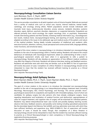#### **Neuropsychology Consultation Liaison Service**

*Lynn Rennison, Psy.D., C. Psych., ABPP London Health Sciences Centre: Victoria Hospital*

This service provides consultation to all adult inpatient units at Victoria Hospital. Referrals are received from a variety of medical units such as critical care, trauma, internal medicine, mental health, cardiology, and oncology among others. Patient populations served include individuals with traumatic brain injury, cerebrovascular disorders, anoxia, seizures, metabolic disorders, systemic disorders, sepsis, delirium, psychotic disorders, depression, or suspected dementia. Outpatients are referred primarily from neuro-oncology, the urgent neurology clinic, or psychiatry. Assessments include interviewing patients and their families, reviewing medical information (e.g., neurodiagnostic test results, medical chart), neuropsychological testing, and reporting of results. Assessments are adapted according to the issues to be addressed, age and medical acuity of the patient, and nature of the medical problem. Testing ideally includes evaluation of intellectual and academic skills, executive functions, attention, memory, visual-perceptual and constructional skills, language abilities, motor functions, and emotional status.

The goal of this minor rotation in neuropsychology is to introduce interested non-neuropsychology residents to the role of neuropsychology within a medical setting. Residents will observe the unique behaviours of individuals with neurological impairment, obtain an understanding of what a neuropsychological assessment entails, and learn when it is appropriate to refer a patient to neuropsychology. Residents will also develop an appreciation of how different medical conditions may affect the integrity of the brain. Residents will observe interviews, testing, and feedback sessions. Residents will administer tests with which they are familiar, such as the WAIS-IV. Part of supervision will involve discussion of cases. Completion of a Minor Rotation in neuropsychology should not be interpreted to mean that the resident has received sufficient training to practice as a Clinical Neuropsychologist.

(Anti-requisite: Neuropsychology Track)

### **Neuropsychology Adult Epilepsy Service**

*Brent Hayman-Abello, Ph.D., C. Psych., Susan Hayman-Abello, Ph.D., C. Psych. London Health Sciences Centre: University Hospital*

The goal of a minor rotation in this service is to introduce the interested non-neuropsychology resident to the role of neuropsychology in an interprofessional epilepsy treatment team (including Neurology, Neurosurgery, EEG, Clinical Psychology, and Nursing). This service provides neuropsychological assessments to outpatients and inpatients with intractable epilepsy, most of whom are candidates for epilepsy surgery but also persons who have already undergone surgery. Issues regarding lateralization and localization of cerebral function and dysfunction, appropriateness of cases for surgical treatment, and cognitive risks of surgery will be examined for individual patients. Residents may attend interprofessional team case rounds and possibly Epilepsy teaching rounds; observe interviews, feedback sessions, and possibly some testing including specialized assessments like the etomidate Speech And Memory Test (eSAM); and may administer some tests with which they have sufficient familiarity and experience (e.g., WAIS-IV/WASI-II). Part of supervision will involve discussion of cases. It should be noted, though, that completion of a Minor Rotation in neuropsychology should not be interpreted to mean that the resident has received sufficient training to practice as a Clinical Neuropsychologist or claim competency in Clinical Neuropsychology for registration/licensing purposes.

(Anti-requisite: Neuropsychology Track)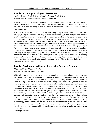### **Paediatric Neuropsychological Assessment**

*Andrea Downie, Ph.D., C. Psych., Sabrina Freund, Ph.D., C. Psych London Health Sciences Centre: Children's Hospital*

The goal of this minor rotation in neuropsychology is for interested non-neuropsychology residents to learn more about the types of patients seen by paediatric neuropsychologists as well as the processes involved in assessing children in order to make informed decisions about when to refer to neuropsychology.

This is achieved primarily through observing a neuropsychologist completing various aspects of a neuropsychological assessment including chart review, interviewing, testing, and providing feedback and/or consultation. Part of supervision will involve discussion of cases. Residents may also have an opportunity to interview patients or their families, become involved with school consultations, and/or administer tests with which they are already familiar, such as the Wechsler Intelligence Scales, to a select number of individuals with neurological impairment in order to gain an appreciation for the specialized nature of the administration and interpretation of these tests within a neuropsychological framework. In this Minor Rotation residents will gain familiarity with issues specific to paediatric neuropsychology through exposure to children who may be referred from the Acquired Brain Injury, Oncology, Neurology, Neurosurgery, or Medical Genetics services. Residents are encouraged to contact potential supervisors to obtain a description of the opportunities available prior to choosing a rotation. Completion of a Minor Rotation in neuropsychology should not be interpreted to mean that the resident has received sufficient training to practice as a Clinical Neuropsychologist. (Anti-requisite: Neuropsychology Track)

## **Positive Psychology and Suicide Prevention Research Program**

*Marnin J. Heisel, Ph.D., C. Psych. Western University, Victoria Hospital*

Older adults are among the fastest-growing demographics in our population and older men have the highest rates of suicide worldwide. My program of research focuses primarily on enhancing the detection and assessment of suicide risk, building and testing models for improving the understanding of the onset of suicide risk incorporating consideration of psychological risk and resiliency factors, promoting Meaning in Life and other resiliency processes, and testing and disseminating clinical, community, or population-level interventions designed to enhance psychological well-being and reduce risk for depression, hopelessness, and suicide. This rotation may be attractive to residents interested in gaining more experience with research in Clinical Geropsychology, Suicide Prevention, and/or Positive Psychology, and to those interested in the development, adaptation, and evaluation of psychological assessment tools and interventions. Residents will have an opportunity to participate in an active program of research with human participants, potentially including: grant-writing, research ethics submissions, refinement of study methodology, participant recruitment, interviewing, and/or intervention. Residents will receive oneon-one mentorship supporting their career development as a clinically-oriented psychological scientist, and will have opportunities to participate in co-authoring scientific presentations and publications.

(Anti-requisite: None)